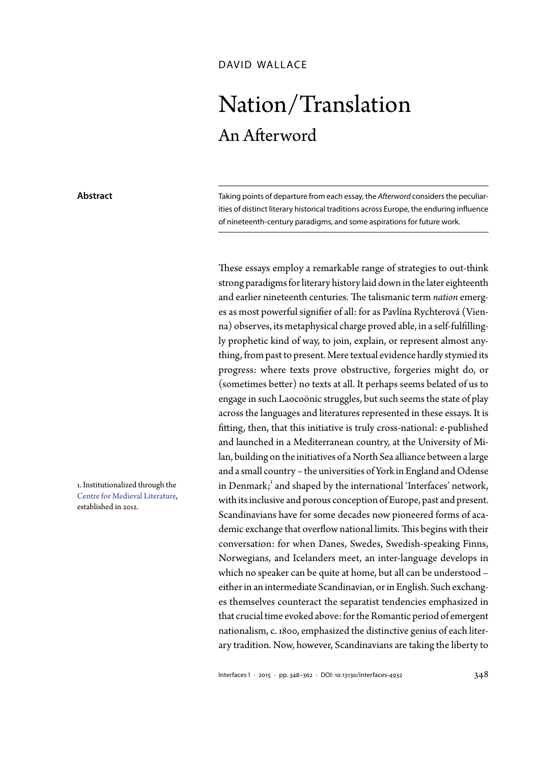## DAVID WALLACE

# Nation/Translation An Afterword

#### **Abstract**

Taking points of departure from each essay, the *Afterword* considers the peculiarities of distinct literary historical traditions across Europe, the enduring influence of nineteenth-century paradigms, and some aspirations for future work.

These essays employ a remarkable range of strategies to out-think strong paradigms for literary history laid down in the later eighteenth and earlier nineteenth centuries. The talismanic term *nation* emerges as most powerful signifier of all: for as Pavlína Rychterová (Vienna) observes, its metaphysical charge proved able, in a self-fulfillingly prophetic kind of way, to join, explain, or represent almost anything, from past to present. Mere textual evidence hardly stymied its progress: where texts prove obstructive, forgeries might do, or (sometimes better) no texts at all. It perhaps seems belated of us to engage in such Laocoönic struggles, but such seems the state of play across the languages and literatures represented in these essays. It is fitting, then, that this initiative is truly cross-national: e-published and launched in a Mediterranean country, at the University of Milan, building on the initiatives of a North Sea alliance between a large and a small country – the universities of York in England and Odense in Denmark;<sup>1</sup> and shaped by the international 'Interfaces' network, with its inclusive and porous conception of Europe, past and present. Scandinavians have for some decades now pioneered forms of academic exchange that overflow national limits. This begins with their conversation: for when Danes, Swedes, Swedish-speaking Finns, Norwegians, and Icelanders meet, an inter-language develops in which no speaker can be quite at home, but all can be understood – either in an intermediate Scandinavian, or in English. Such exchanges themselves counteract the separatist tendencies emphasized in that crucial time evoked above: for the Romantic period of emergent nationalism, c. 1800, emphasized the distinctive genius of each literary tradition. Now, however, Scandinavians are taking the liberty to

[Centre for Medieval Literature](http://sdu.dk/cml), established in 2012.

1. Institutionalized through the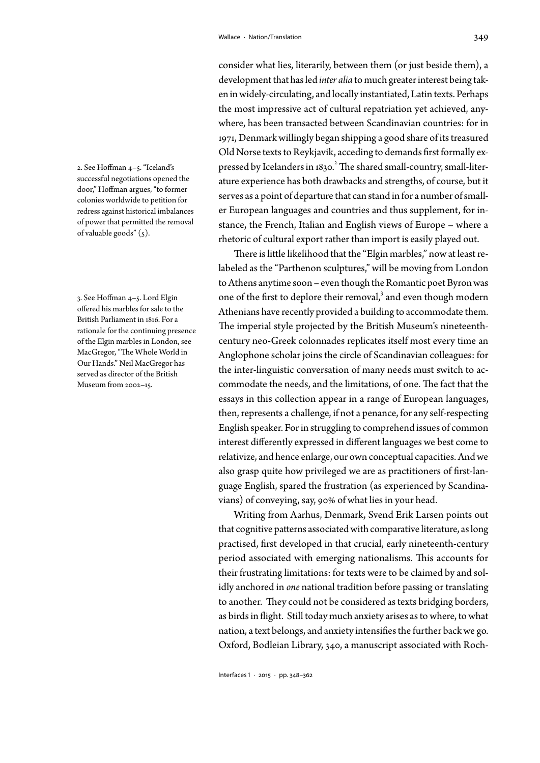2. See Hoffman 4–5. "Iceland's successful negotiations opened the door," Hoffman argues, "to former colonies worldwide to petition for redress against historical imbalances of power that permitted the removal of valuable goods"  $(5)$ .

3. See Hoffman 4–5. Lord Elgin offered his marbles for sale to the British Parliament in 1816. For a rationale for the continuing presence of the Elgin marbles in London, see MacGregor, "The Whole World in Our Hands." Neil MacGregor has served as director of the British Museum from 2002–15.

consider what lies, literarily, between them (or just beside them), a development that has led *inter alia* to much greater interest being taken in widely-circulating, and locally instantiated, Latin texts. Perhaps the most impressive act of cultural repatriation yet achieved, anywhere, has been transacted between Scandinavian countries: for in 1971, Denmark willingly began shipping a good share of its treasured Old Norse texts to Reykjavik, acceding to demands first formally expressed by Icelanders in 1830.<sup>2</sup> The shared small-country, small-literature experience has both drawbacks and strengths, of course, but it serves as a point of departure that can stand in for a number of smaller European languages and countries and thus supplement, for instance, the French, Italian and English views of Europe – where a rhetoric of cultural export rather than import is easily played out.

There is little likelihood that the "Elgin marbles," now at least relabeled as the "Parthenon sculptures," will be moving from London to Athens anytime soon – even though the Romantic poet Byron was one of the first to deplore their removal,<sup>3</sup> and even though modern Athenians have recently provided a building to accommodate them. The imperial style projected by the British Museum's nineteenthcentury neo-Greek colonnades replicates itself most every time an Anglophone scholar joins the circle of Scandinavian colleagues: for the inter-linguistic conversation of many needs must switch to accommodate the needs, and the limitations, of one. The fact that the essays in this collection appear in a range of European languages, then, represents a challenge, if not a penance, for any self-respecting English speaker. For in struggling to comprehend issues of common interest differently expressed in different languages we best come to relativize, and hence enlarge, our own conceptual capacities. And we also grasp quite how privileged we are as practitioners of first-language English, spared the frustration (as experienced by Scandinavians) of conveying, say, 90% of what lies in your head.

Writing from Aarhus, Denmark, Svend Erik Larsen points out that cognitive patterns associated with comparative literature, as long practised, first developed in that crucial, early nineteenth-century period associated with emerging nationalisms. This accounts for their frustrating limitations: for texts were to be claimed by and solidly anchored in *one* national tradition before passing or translating to another. They could not be considered as texts bridging borders, as birds in flight. Still today much anxiety arises as to where, to what nation, a text belongs, and anxiety intensifies the further back we go. Oxford, Bodleian Library, 340, a manuscript associated with Roch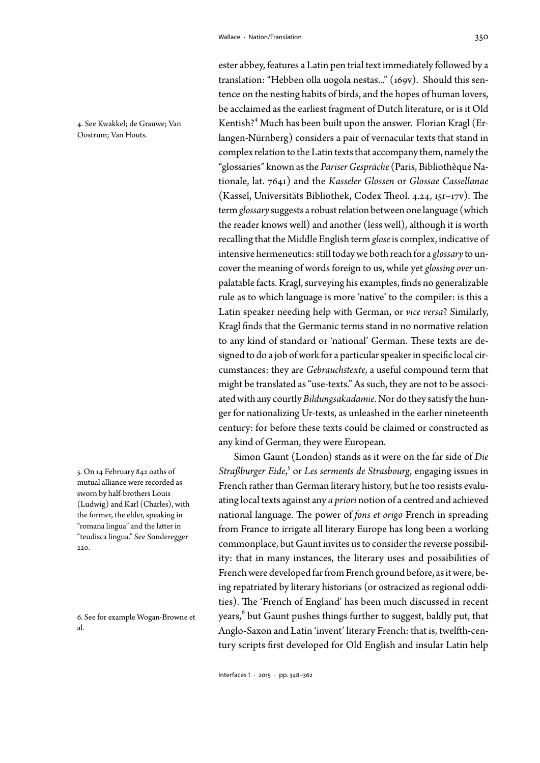4. See Kwakkel; de Grauwe; Van Oostrum; Van Houts.

5. On 14 February 842 oaths of mutual alliance were recorded as sworn by half-brothers Louis (Ludwig) and Karl (Charles), with the former, the elder, speaking in "romana lingua" and the latter in "teudisca lingua." See Sonderegger 220.

6. See for example Wogan-Browne et al.

ester abbey, features a Latin pen trial text immediately followed by a translation: "Hebben olla uogola nestas..." (169v). Should this sentence on the nesting habits of birds, and the hopes of human lovers, be acclaimed as the earliest fragment of Dutch literature, or is it Old Kentish?<sup>4</sup> Much has been built upon the answer. Florian Kragl (Erlangen-Nürnberg) considers a pair of vernacular texts that stand in complex relation to the Latin texts that accompany them, namely the "glossaries" known as the *Pariser Gespräche* (Paris, Bibliothèque Nationale, lat. 7641) and the *Kasseler Glossen* or *Glossae Cassellanae* (Kassel, Universitäts Bibliothek, Codex Theol. 4.24, 15r–17v). The term *glossary* suggests a robust relation between one language (which the reader knows well) and another (less well), although it is worth recalling that the Middle English term *glose* is complex, indicative of intensive hermeneutics: still today we both reach for a *glossary* to uncover the meaning of words foreign to us, while yet *glossing over* unpalatable facts. Kragl, surveying his examples, finds no generalizable rule as to which language is more 'native' to the compiler: is this a Latin speaker needing help with German, or *vice versa*? Similarly, Kragl finds that the Germanic terms stand in no normative relation to any kind of standard or 'national' German. These texts are designed to do a job of work for a particular speaker in specific local circumstances: they are *Gebrauchstexte*, a useful compound term that might be translated as "use-texts." As such, they are not to be associated with any courtly *Bildungsakadamie*. Nor do they satisfy the hunger for nationalizing Ur-texts, as unleashed in the earlier nineteenth century: for before these texts could be claimed or constructed as any kind of German, they were European.

Simon Gaunt (London) stands as it were on the far side of *Die*  Straßburger Eide,<sup>5</sup> or Les serments de Strasbourg, engaging issues in French rather than German literary history, but he too resists evaluating local texts against any *a priori* notion of a centred and achieved national language. The power of *fons et origo* French in spreading from France to irrigate all literary Europe has long been a working commonplace, but Gaunt invites us to consider the reverse possibility: that in many instances, the literary uses and possibilities of French were developed far from French ground before, as it were, being repatriated by literary historians (or ostracized as regional oddities). The 'French of England' has been much discussed in recent years, 6 but Gaunt pushes things further to suggest, baldly put, that Anglo-Saxon and Latin 'invent' literary French: that is, twelfth-century scripts first developed for Old English and insular Latin help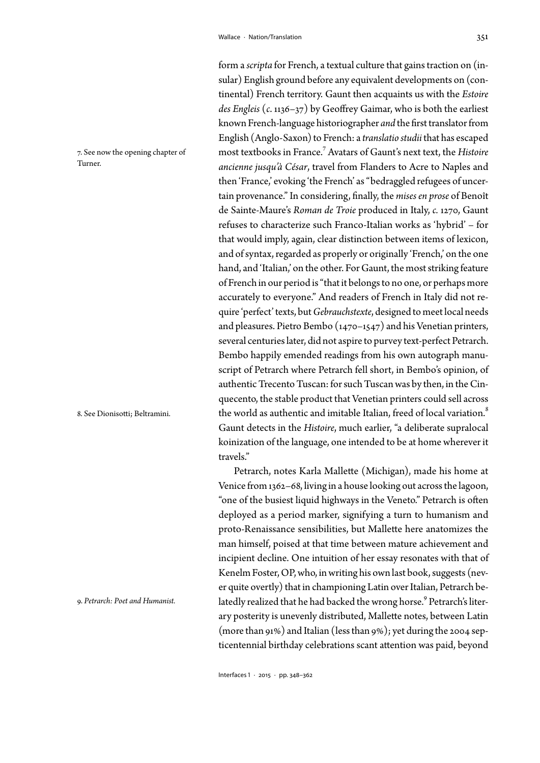form a *scripta* for French, a textual culture that gains traction on (insular) English ground before any equivalent developments on (continental) French territory. Gaunt then acquaints us with the *Estoire des Engleis* (*c*. 1136–37) by Geoffrey Gaimar, who is both the earliest known French-language historiographer *and* the first translator from English (Anglo-Saxon) to French: a *translatio studii* that has escaped most textbooks in France.7 Avatars of Gaunt's next text, the *Histoire ancienne jusqu'à César*, travel from Flanders to Acre to Naples and then 'France,' evoking 'the French' as "bedraggled refugees of uncertain provenance." In considering, finally, the *mises en prose* of Benoît de Sainte-Maure's *Roman de Troie* produced in Italy, *c.* 1270, Gaunt refuses to characterize such Franco-Italian works as 'hybrid' – for that would imply, again, clear distinction between items of lexicon, and of syntax, regarded as properly or originally 'French,' on the one hand, and 'Italian,' on the other. For Gaunt, the most striking feature of French in our period is "that it belongs to no one, or perhaps more accurately to everyone." And readers of French in Italy did not require 'perfect' texts, but *Gebrauchstexte*, designed to meet local needs and pleasures. Pietro Bembo (1470–1547) and his Venetian printers, several centuries later, did not aspire to purvey text-perfect Petrarch. Bembo happily emended readings from his own autograph manuscript of Petrarch where Petrarch fell short, in Bembo's opinion, of authentic Trecento Tuscan: for such Tuscan was by then, in the Cinquecento, the stable product that Venetian printers could sell across the world as authentic and imitable Italian, freed of local variation.<sup>8</sup> Gaunt detects in the *Histoire*, much earlier, "a deliberate supralocal koinization of the language, one intended to be at home wherever it travels."

Petrarch, notes Karla Mallette (Michigan), made his home at Venice from 1362–68, living in a house looking out across the lagoon, "one of the busiest liquid highways in the Veneto." Petrarch is often deployed as a period marker, signifying a turn to humanism and proto-Renaissance sensibilities, but Mallette here anatomizes the man himself, poised at that time between mature achievement and incipient decline. One intuition of her essay resonates with that of Kenelm Foster, OP, who, in writing his own last book, suggests (never quite overtly) that in championing Latin over Italian, Petrarch belatedly realized that he had backed the wrong horse.<sup>9</sup> Petrarch's literary posterity is unevenly distributed, Mallette notes, between Latin (more than 91%) and Italian (less than 9%); yet during the 2004 septicentennial birthday celebrations scant attention was paid, beyond

7. See now the opening chapter of Turner.

8. See Dionisotti; Beltramini.

9. *Petrarch: Poet and Humanist.*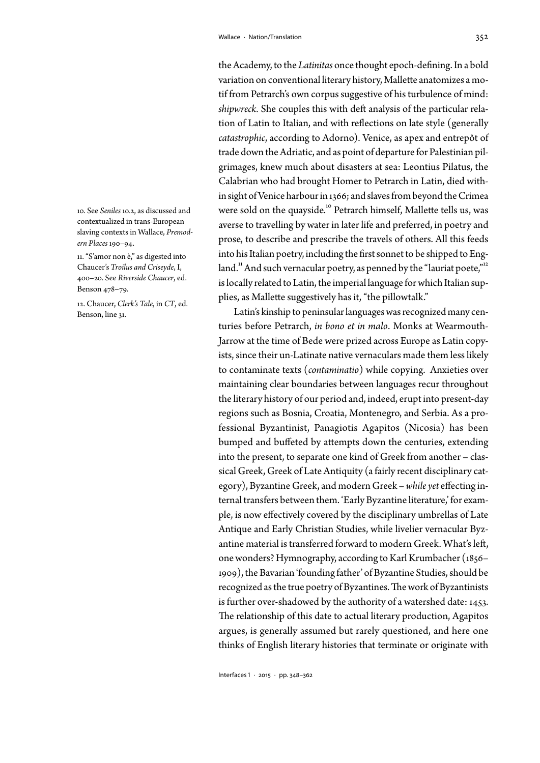the Academy, to the *Latinitas* once thought epoch-defining. In a bold variation on conventional literary history, Mallette anatomizes a motif from Petrarch's own corpus suggestive of his turbulence of mind: *shipwreck.* She couples this with deft analysis of the particular relation of Latin to Italian, and with reflections on late style (generally *catastrophic*, according to Adorno). Venice, as apex and entrepôt of trade down the Adriatic, and as point of departure for Palestinian pilgrimages, knew much about disasters at sea: Leontius Pilatus, the Calabrian who had brought Homer to Petrarch in Latin, died within sight of Venice harbour in 1366; and slaves from beyond the Crimea were sold on the quayside.<sup>10</sup> Petrarch himself, Mallette tells us, was averse to travelling by water in later life and preferred, in poetry and prose, to describe and prescribe the travels of others. All this feeds into his Italian poetry, including the first sonnet to be shipped to England.<sup>11</sup> And such vernacular poetry, as penned by the "lauriat poete,"<sup>12</sup> is locally related to Latin, the imperial language for which Italian supplies, as Mallette suggestively has it, "the pillowtalk."

Latin's kinship to peninsular languages was recognized many centuries before Petrarch, *in bono et in malo*. Monks at Wearmouth-Jarrow at the time of Bede were prized across Europe as Latin copyists, since their un-Latinate native vernaculars made them less likely to contaminate texts (*contaminatio*) while copying. Anxieties over maintaining clear boundaries between languages recur throughout the literary history of our period and, indeed, erupt into present-day regions such as Bosnia, Croatia, Montenegro, and Serbia. As a professional Byzantinist, Panagiotis Agapitos (Nicosia) has been bumped and buffeted by attempts down the centuries, extending into the present, to separate one kind of Greek from another – classical Greek, Greek of Late Antiquity (a fairly recent disciplinary category), Byzantine Greek, and modern Greek – *while yet* effecting internal transfers between them. 'Early Byzantine literature,' for example, is now effectively covered by the disciplinary umbrellas of Late Antique and Early Christian Studies, while livelier vernacular Byzantine material is transferred forward to modern Greek. What's left, one wonders? Hymnography, according to Karl Krumbacher (1856– 1909), the Bavarian 'founding father' of Byzantine Studies, should be recognized as the true poetry of Byzantines. The work of Byzantinists is further over-shadowed by the authority of a watershed date: 1453. The relationship of this date to actual literary production, Agapitos argues, is generally assumed but rarely questioned, and here one thinks of English literary histories that terminate or originate with

Interfaces 1 · 2015 · pp. 348–362

10. See *Seniles* 10.2, as discussed and contextualized in trans-European slaving contexts in Wallace, *Premodern Places* 190–94.

11. "S'amor non è," as digested into Chaucer's *Troilus and Criseyde*, I, 400–20. See *Riverside Chaucer*, ed. Benson 478–79.

12. Chaucer, *Clerk's Tale*, in *CT*, ed. Benson, line 31.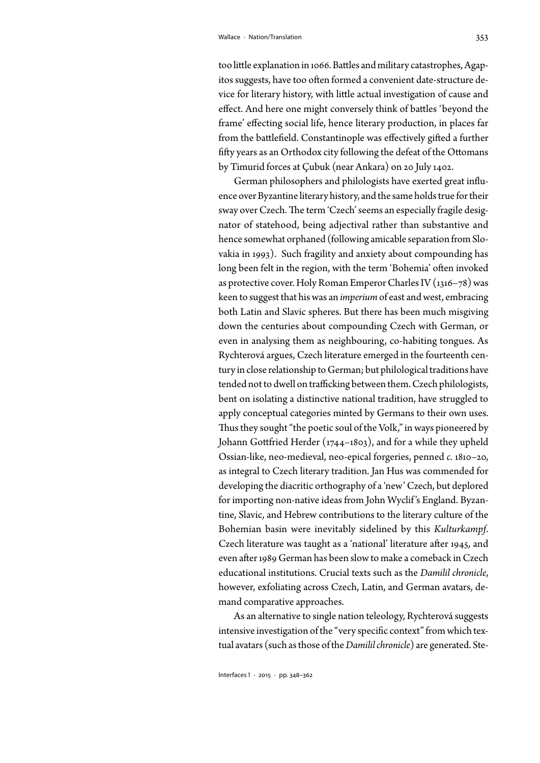too little explanation in 1066. Battles and military catastrophes, Agapitos suggests, have too often formed a convenient date-structure device for literary history, with little actual investigation of cause and effect. And here one might conversely think of battles 'beyond the frame' effecting social life, hence literary production, in places far from the battlefield. Constantinople was effectively gifted a further fifty years as an Orthodox city following the defeat of the Ottomans by Timurid forces at Çubuk (near Ankara) on 20 July 1402.

German philosophers and philologists have exerted great influence over Byzantine literary history, and the same holds true for their sway over Czech. The term 'Czech' seems an especially fragile designator of statehood, being adjectival rather than substantive and hence somewhat orphaned (following amicable separation from Slovakia in 1993). Such fragility and anxiety about compounding has long been felt in the region, with the term 'Bohemia' often invoked as protective cover. Holy Roman Emperor Charles IV (1316–78) was keen to suggest that his was an *imperium* of east and west, embracing both Latin and Slavic spheres. But there has been much misgiving down the centuries about compounding Czech with German, or even in analysing them as neighbouring, co-habiting tongues. As Rychterová argues, Czech literature emerged in the fourteenth century in close relationship to German; but philological traditions have tended not to dwell on trafficking between them. Czech philologists, bent on isolating a distinctive national tradition, have struggled to apply conceptual categories minted by Germans to their own uses. Thus they sought "the poetic soul of the Volk," in ways pioneered by Johann Gottfried Herder (1744–1803), and for a while they upheld Ossian-like, neo-medieval, neo-epical forgeries, penned *c.* 1810–20, as integral to Czech literary tradition. Jan Hus was commended for developing the diacritic orthography of a 'new' Czech, but deplored for importing non-native ideas from John Wyclif 's England. Byzantine, Slavic, and Hebrew contributions to the literary culture of the Bohemian basin were inevitably sidelined by this *Kulturkampf*. Czech literature was taught as a 'national' literature after 1945, and even after 1989 German has been slow to make a comeback in Czech educational institutions. Crucial texts such as the *Damilil chronicle*, however, exfoliating across Czech, Latin, and German avatars, demand comparative approaches.

As an alternative to single nation teleology, Rychterová suggests intensive investigation of the "very specific context" from which textual avatars (such as those of the *Damilil chronicle*) are generated. Ste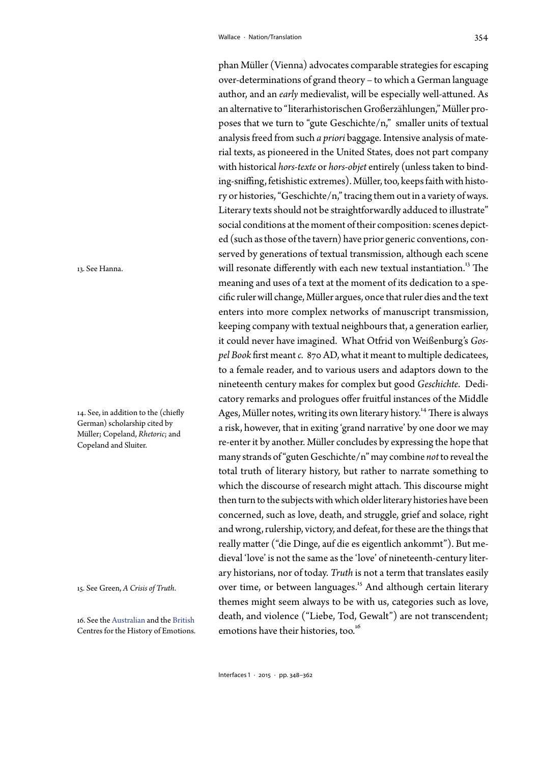phan Müller (Vienna) advocates comparable strategies for escaping over-determinations of grand theory – to which a German language author, and an *early* medievalist, will be especially well-attuned. As an alternative to "literarhistorischen Großerzählungen," Müller proposes that we turn to "gute Geschichte/n," smaller units of textual analysis freed from such *a priori* baggage. Intensive analysis of material texts, as pioneered in the United States, does not part company with historical *hors-texte* or *hors-objet* entirely (unless taken to binding-sniffing, fetishistic extremes). Müller, too, keeps faith with history or histories, "Geschichte/n," tracing them out in a variety of ways. Literary texts should not be straightforwardly adduced to illustrate" social conditions at the moment of their composition: scenes depicted (such as those of the tavern) have prior generic conventions, conserved by generations of textual transmission, although each scene will resonate differently with each new textual instantiation.<sup>13</sup> The meaning and uses of a text at the moment of its dedication to a specific ruler will change, Müller argues, once that ruler dies and the text enters into more complex networks of manuscript transmission, keeping company with textual neighbours that, a generation earlier, it could never have imagined. What Otfrid von Weißenburg's *Gospel Book* first meant *c.* 870 AD, what it meant to multiple dedicatees, to a female reader, and to various users and adaptors down to the nineteenth century makes for complex but good *Geschichte*. Dedicatory remarks and prologues offer fruitful instances of the Middle Ages, Müller notes, writing its own literary history.<sup>14</sup> There is always a risk, however, that in exiting 'grand narrative' by one door we may re-enter it by another. Müller concludes by expressing the hope that many strands of "guten Geschichte/n" may combine *not* to reveal the total truth of literary history, but rather to narrate something to which the discourse of research might attach. This discourse might then turn to the subjects with which older literary histories have been concerned, such as love, death, and struggle, grief and solace, right and wrong, rulership, victory, and defeat, for these are the things that really matter ("die Dinge, auf die es eigentlich ankommt"). But medieval 'love' is not the same as the 'love' of nineteenth-century literary historians, nor of today. *Truth* is not a term that translates easily over time, or between languages.<sup>15</sup> And although certain literary themes might seem always to be with us, categories such as love, death, and violence ("Liebe, Tod, Gewalt") are not transcendent; emotions have their histories, too.<sup>16</sup>

13. See Hanna.

14. See, in addition to the (chiefly German) scholarship cited by Müller; Copeland, *Rhetoric*; and Copeland and Sluiter.

15. See Green, *A Crisis of Truth*.

16. See the [Australian](http://www.historyofemotions.org.au) and the [British](http://www.qmul.ac.uk/emotions/) Centres for the History of Emotions.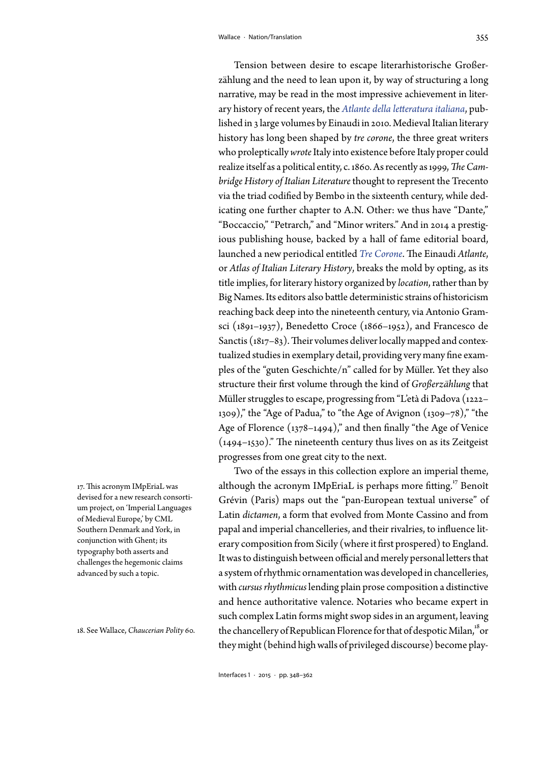Tension between desire to escape literarhistorische Großerzählung and the need to lean upon it, by way of structuring a long narrative, may be read in the most impressive achievement in literary history of recent years, the *[Atlante della letteratura italiana](http://www.einaudi.it/speciali/Atlante-della-letteratura-italiana)*, published in 3 large volumes by Einaudi in 2010. Medieval Italian literary history has long been shaped by *tre corone*, the three great writers who proleptically *wrote* Italy into existence before Italy proper could realize itself as a political entity, c. 1860. As recently as 1999, *The Cambridge History of Italian Literature* thought to represent the Trecento via the triad codified by Bembo in the sixteenth century, while dedicating one further chapter to A.N. Other: we thus have "Dante," "Boccaccio," "Petrarch," and "Minor writers." And in 2014 a prestigious publishing house, backed by a hall of fame editorial board, launched a new periodical entitled *[Tre Corone](http://www.libraweb.net/riviste.php%3Fchiave%3D121)*. The Einaudi *Atlante*, or *Atlas of Italian Literary History*, breaks the mold by opting, as its title implies, for literary history organized by *location*, rather than by Big Names. Its editors also battle deterministic strains of historicism reaching back deep into the nineteenth century, via Antonio Gramsci (1891–1937), Benedetto Croce (1866–1952), and Francesco de Sanctis (1817–83). Their volumes deliver locally mapped and contextualized studies in exemplary detail, providing very many fine examples of the "guten Geschichte/n" called for by Müller. Yet they also structure their first volume through the kind of *Großerzählung* that Müller struggles to escape, progressing from "L'età di Padova (1222– 1309)," the "Age of Padua," to "the Age of Avignon  $(1309 - 78)$ ," "the Age of Florence  $(1378-1494)$ ," and then finally "the Age of Venice  $(1494-1530)$ ." The nineteenth century thus lives on as its Zeitgeist progresses from one great city to the next.

Two of the essays in this collection explore an imperial theme, although the acronym IMpEriaL is perhaps more fitting.<sup>17</sup> Benoît Grévin (Paris) maps out the "pan-European textual universe" of Latin *dictamen*, a form that evolved from Monte Cassino and from papal and imperial chancelleries, and their rivalries, to influence literary composition from Sicily (where it first prospered) to England. It was to distinguish between official and merely personal letters that a system of rhythmic ornamentation was developed in chancelleries, with *cursus rhythmicus* lending plain prose composition a distinctive and hence authoritative valence. Notaries who became expert in such complex Latin forms might swop sides in an argument, leaving the chancellery of Republican Florence for that of despotic Milan,<sup>18</sup>or they might (behind high walls of privileged discourse) become play-

17. This acronym IMpEriaL was devised for a new research consortium project, on 'Imperial Languages of Medieval Europe,' by CML Southern Denmark and York, in conjunction with Ghent; its typography both asserts and challenges the hegemonic claims advanced by such a topic.

18. See Wallace, *Chaucerian Polity* 60.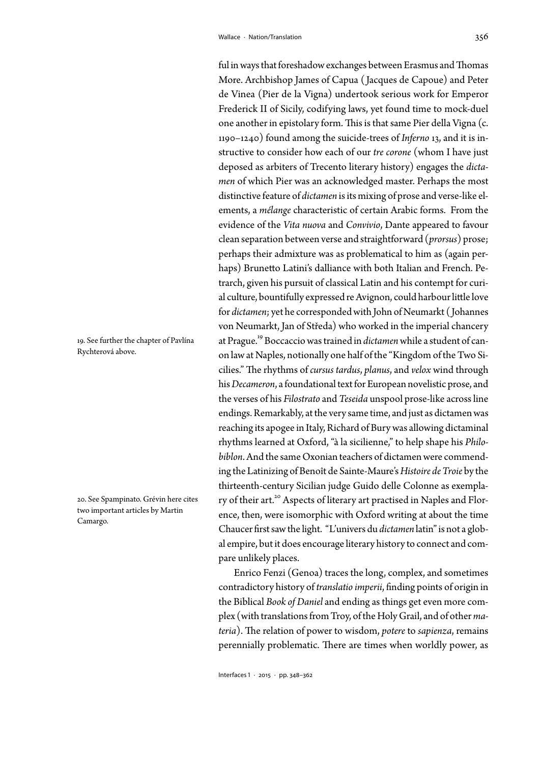ful in ways that foreshadow exchanges between Erasmus and Thomas More. Archbishop James of Capua ( Jacques de Capoue) and Peter de Vinea (Pier de la Vigna) undertook serious work for Emperor Frederick II of Sicily, codifying laws, yet found time to mock-duel one another in epistolary form. This is that same Pier della Vigna (c. 1190–1240) found among the suicide-trees of *Inferno* 13, and it is instructive to consider how each of our *tre corone* (whom I have just deposed as arbiters of Trecento literary history) engages the *dictamen* of which Pier was an acknowledged master. Perhaps the most distinctive feature of *dictamen* is its mixing of prose and verse-like elements, a *mélange* characteristic of certain Arabic forms. From the evidence of the *Vita nuova* and *Convivio*, Dante appeared to favour clean separation between verse and straightforward (*prorsus*) prose; perhaps their admixture was as problematical to him as (again perhaps) Brunetto Latini's dalliance with both Italian and French. Petrarch, given his pursuit of classical Latin and his contempt for curial culture, bountifully expressed re Avignon, could harbour little love for *dictamen*; yet he corresponded with John of Neumarkt ( Johannes von Neumarkt, Jan of Středa) who worked in the imperial chancery at Prague.19 Boccaccio was trained in *dictamen* while a student of canon law at Naples, notionally one half of the "Kingdom of the Two Sicilies." The rhythms of *cursus tardus*, *planus*, and *velox* wind through his *Decameron*, a foundational text for European novelistic prose, and the verses of his *Filostrato* and *Teseida* unspool prose-like across line endings. Remarkably, at the very same time, and just as dictamen was reaching its apogee in Italy, Richard of Bury was allowing dictaminal rhythms learned at Oxford, "à la sicilienne," to help shape his *Philobiblon*. And the same Oxonian teachers of dictamen were commending the Latinizing of Benoît de Sainte-Maure's *Histoire de Troie* by the thirteenth-century Sicilian judge Guido delle Colonne as exemplary of their art.<sup>20</sup> Aspects of literary art practised in Naples and Florence, then, were isomorphic with Oxford writing at about the time Chaucer first saw the light. "L'univers du *dictamen* latin" is not a global empire, but it does encourage literary history to connect and compare unlikely places.

Enrico Fenzi (Genoa) traces the long, complex, and sometimes contradictory history of *translatio imperii*, finding points of origin in the Biblical *Book of Daniel* and ending as things get even more complex (with translations from Troy, of the Holy Grail, and of other *materia*). The relation of power to wisdom, *potere* to *sapienza*, remains perennially problematic. There are times when worldly power, as

19. See further the chapter of Pavlína Rychterová above.

20. See Spampinato. Grévin here cites two important articles by Martin Camargo.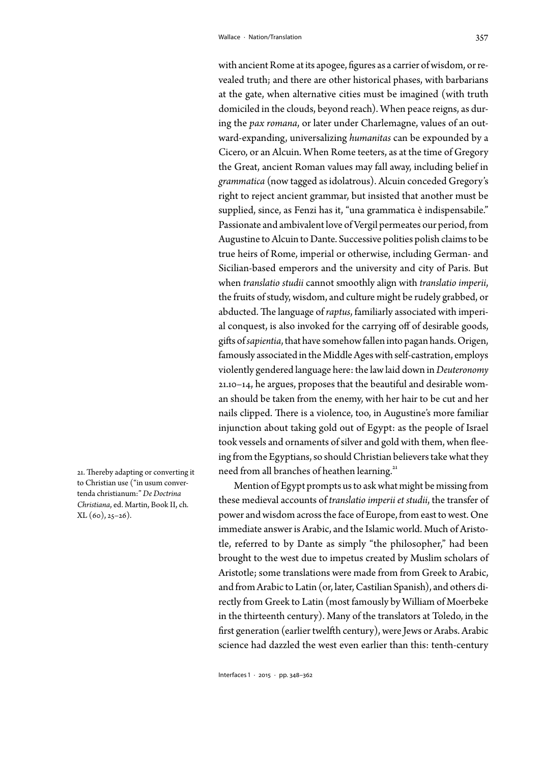21. Thereby adapting or converting it to Christian use ("in usum convertenda christianum:" *De Doctrina Christiana*, ed. Martin, Book II, ch.  $XL(60), 25-26).$ 

vealed truth; and there are other historical phases, with barbarians at the gate, when alternative cities must be imagined (with truth domiciled in the clouds, beyond reach). When peace reigns, as during the *pax romana*, or later under Charlemagne, values of an outward-expanding, universalizing *humanitas* can be expounded by a Cicero, or an Alcuin. When Rome teeters, as at the time of Gregory the Great, ancient Roman values may fall away, including belief in *grammatica* (now tagged as idolatrous). Alcuin conceded Gregory's right to reject ancient grammar, but insisted that another must be supplied, since, as Fenzi has it, "una grammatica è indispensabile." Passionate and ambivalent love of Vergil permeates our period, from Augustine to Alcuin to Dante. Successive polities polish claims to be true heirs of Rome, imperial or otherwise, including German- and Sicilian-based emperors and the university and city of Paris. But when *translatio studii* cannot smoothly align with *translatio imperii*, the fruits of study, wisdom, and culture might be rudely grabbed, or abducted. The language of *raptus*, familiarly associated with imperial conquest, is also invoked for the carrying off of desirable goods, gifts of *sapientia*, that have somehow fallen into pagan hands. Origen, famously associated in the Middle Ages with self-castration, employs violently gendered language here: the law laid down in *Deuteronomy* 21.10–14, he argues, proposes that the beautiful and desirable woman should be taken from the enemy, with her hair to be cut and her nails clipped. There is a violence, too, in Augustine's more familiar injunction about taking gold out of Egypt: as the people of Israel took vessels and ornaments of silver and gold with them, when fleeing from the Egyptians, so should Christian believers take what they need from all branches of heathen learning.<sup>21</sup>

with ancient Rome at its apogee, figures as a carrier of wisdom, or re-

Mention of Egypt prompts us to ask what might be missing from these medieval accounts of *translatio imperii et studii*, the transfer of power and wisdom across the face of Europe, from east to west. One immediate answer is Arabic, and the Islamic world. Much of Aristotle, referred to by Dante as simply "the philosopher," had been brought to the west due to impetus created by Muslim scholars of Aristotle; some translations were made from from Greek to Arabic, and from Arabic to Latin (or, later, Castilian Spanish), and others directly from Greek to Latin (most famously by William of Moerbeke in the thirteenth century). Many of the translators at Toledo, in the first generation (earlier twelfth century), were Jews or Arabs. Arabic science had dazzled the west even earlier than this: tenth-century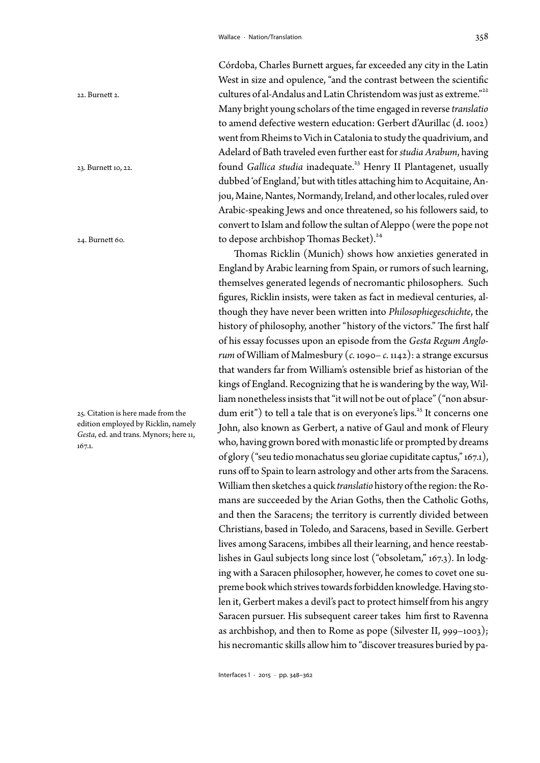22. Burnett 2.

23. Burnett 10, 22.

24. Burnett 60.

25. Citation is here made from the edition employed by Ricklin, namely *Gesta*, ed. and trans. Mynors; here 11, 167.1.

Córdoba, Charles Burnett argues, far exceeded any city in the Latin West in size and opulence, "and the contrast between the scientific cultures of al-Andalus and Latin Christendom was just as extreme."<sup>22</sup> Many bright young scholars of the time engaged in reverse *translatio* to amend defective western education: Gerbert d'Aurillac (d. 1002) went from Rheims to Vich in Catalonia to study the quadrivium, and Adelard of Bath traveled even further east for *studia Arabum*, having found *Gallica studia* inadequate.<sup>23</sup> Henry II Plantagenet, usually dubbed 'of England,' but with titles attaching him to Acquitaine, Anjou, Maine, Nantes, Normandy, Ireland, and other locales, ruled over Arabic-speaking Jews and once threatened, so his followers said, to convert to Islam and follow the sultan of Aleppo (were the pope not to depose archbishop Thomas Becket).<sup>24</sup>

Thomas Ricklin (Munich) shows how anxieties generated in England by Arabic learning from Spain, or rumors of such learning, themselves generated legends of necromantic philosophers. Such figures, Ricklin insists, were taken as fact in medieval centuries, although they have never been written into *Philosophiegeschichte*, the history of philosophy, another "history of the victors." The first half of his essay focusses upon an episode from the *Gesta Regum Anglorum* of William of Malmesbury (*c.* 1090– *c.* 1142): a strange excursus that wanders far from William's ostensible brief as historian of the kings of England. Recognizing that he is wandering by the way, William nonetheless insists that "it will not be out of place" ("non absurdum erit") to tell a tale that is on everyone's lips. $25$  It concerns one John, also known as Gerbert, a native of Gaul and monk of Fleury who, having grown bored with monastic life or prompted by dreams of glory ("seu tedio monachatus seu gloriae cupiditate captus," 167.1), runs off to Spain to learn astrology and other arts from the Saracens. William then sketches a quick *translatio* history of the region: the Romans are succeeded by the Arian Goths, then the Catholic Goths, and then the Saracens; the territory is currently divided between Christians, based in Toledo, and Saracens, based in Seville. Gerbert lives among Saracens, imbibes all their learning, and hence reestablishes in Gaul subjects long since lost ("obsoletam," 167.3). In lodging with a Saracen philosopher, however, he comes to covet one supreme book which strives towards forbidden knowledge. Having stolen it, Gerbert makes a devil's pact to protect himself from his angry Saracen pursuer. His subsequent career takes him first to Ravenna as archbishop, and then to Rome as pope (Silvester II, 999–1003); his necromantic skills allow him to "discover treasures buried by pa-

Interfaces 1 · 2015 · pp. 348–362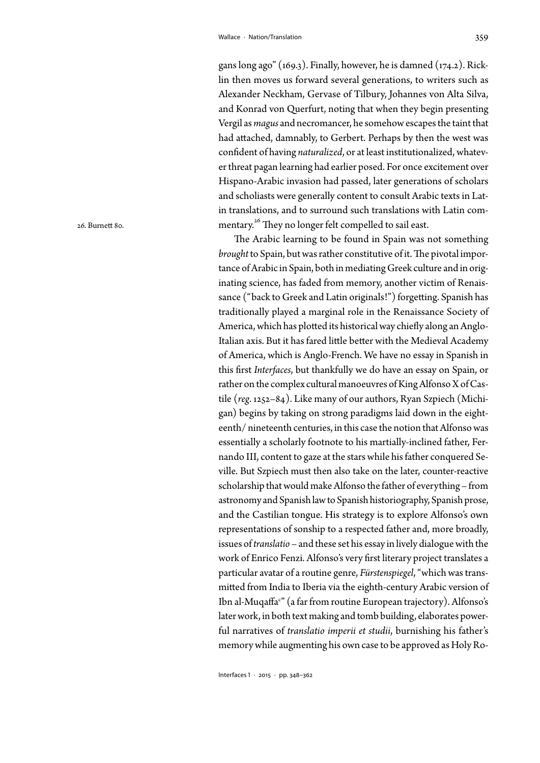gans long ago"  $(169.3)$ . Finally, however, he is damned  $(174.2)$ . Ricklin then moves us forward several generations, to writers such as Alexander Neckham, Gervase of Tilbury, Johannes von Alta Silva, and Konrad von Querfurt, noting that when they begin presenting Vergil as *magus* and necromancer, he somehow escapes the taint that had attached, damnably, to Gerbert. Perhaps by then the west was confident of having *naturalized*, or at least institutionalized, whatever threat pagan learning had earlier posed. For once excitement over Hispano-Arabic invasion had passed, later generations of scholars and scholiasts were generally content to consult Arabic texts in Latin translations, and to surround such translations with Latin commentary.<sup>26</sup> They no longer felt compelled to sail east.

The Arabic learning to be found in Spain was not something *brought* to Spain, but was rather constitutive of it. The pivotal importance of Arabic in Spain, both in mediating Greek culture and in originating science, has faded from memory, another victim of Renaissance ("back to Greek and Latin originals!") forgetting. Spanish has traditionally played a marginal role in the Renaissance Society of America, which has plotted its historical way chiefly along an Anglo-Italian axis. But it has fared little better with the Medieval Academy of America, which is Anglo-French. We have no essay in Spanish in this first *Interfaces*, but thankfully we do have an essay on Spain, or rather on the complex cultural manoeuvres of King Alfonso X of Castile (*reg*. 1252–84). Like many of our authors, Ryan Szpiech (Michigan) begins by taking on strong paradigms laid down in the eighteenth/ nineteenth centuries, in this case the notion that Alfonso was essentially a scholarly footnote to his martially-inclined father, Fernando III, content to gaze at the stars while his father conquered Seville. But Szpiech must then also take on the later, counter-reactive scholarship that would make Alfonso the father of everything – from astronomy and Spanish law to Spanish historiography, Spanish prose, and the Castilian tongue. His strategy is to explore Alfonso's own representations of sonship to a respected father and, more broadly, issues of *translatio* – and these set his essay in lively dialogue with the work of Enrico Fenzi. Alfonso's very first literary project translates a particular avatar of a routine genre, *Fürstenspiegel*, "which was transmitted from India to Iberia via the eighth-century Arabic version of Ibn al-Muqaffa<sup>c"</sup> (a far from routine European trajectory). Alfonso's later work, in both text making and tomb building, elaborates powerful narratives of *translatio imperii et studii*, burnishing his father's memory while augmenting his own case to be approved as Holy Ro-

26. Burnett 80.

Interfaces 1 · 2015 · pp. 348–362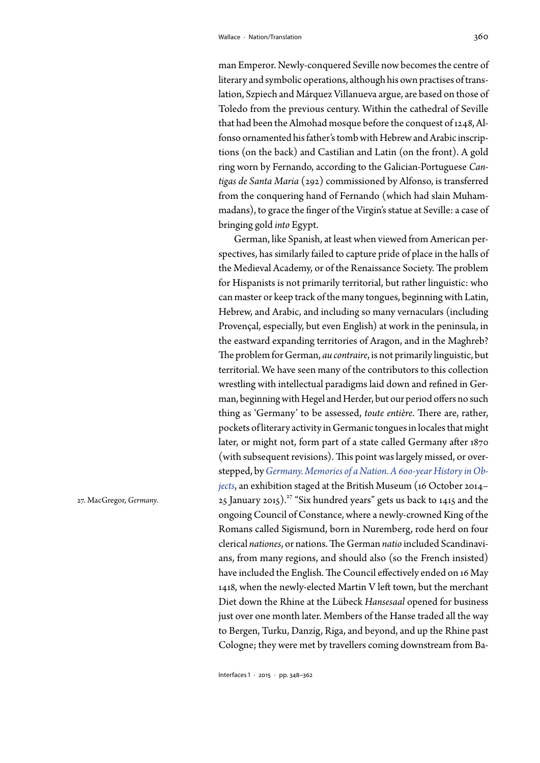man Emperor. Newly-conquered Seville now becomes the centre of literary and symbolic operations, although his own practises of translation, Szpiech and Márquez Villanueva argue, are based on those of Toledo from the previous century. Within the cathedral of Seville that had been the Almohad mosque before the conquest of 1248, Alfonso ornamented his father's tomb with Hebrew and Arabic inscriptions (on the back) and Castilian and Latin (on the front). A gold ring worn by Fernando, according to the Galician-Portuguese *Cantigas de Santa Maria* (292) commissioned by Alfonso, is transferred from the conquering hand of Fernando (which had slain Muhammadans), to grace the finger of the Virgin's statue at Seville: a case of bringing gold *into* Egypt.

German, like Spanish, at least when viewed from American perspectives, has similarly failed to capture pride of place in the halls of the Medieval Academy, or of the Renaissance Society. The problem for Hispanists is not primarily territorial, but rather linguistic: who can master or keep track of the many tongues, beginning with Latin, Hebrew, and Arabic, and including so many vernaculars (including Provençal, especially, but even English) at work in the peninsula, in the eastward expanding territories of Aragon, and in the Maghreb? The problem for German, *au contraire*, is not primarily linguistic, but territorial. We have seen many of the contributors to this collection wrestling with intellectual paradigms laid down and refined in German, beginning with Hegel and Herder, but our period offers no such thing as 'Germany' to be assessed, *toute entière*. There are, rather, pockets of literary activity in Germanic tongues in locales that might later, or might not, form part of a state called Germany after 1870 (with subsequent revisions). This point was largely missed, or overstepped, by *[Germany. Memories of a Nation. A 600-year History in Ob](http://www.britishmuseum.org/whats_on/past_exhibitions/2014/germany_memories_of_a_nation.aspx)[jects](http://www.britishmuseum.org/whats_on/past_exhibitions/2014/germany_memories_of_a_nation.aspx)*, an exhibition staged at the British Museum (16 October 2014–  $25$  January  $2015$ ).<sup>27</sup> "Six hundred years" gets us back to  $1415$  and the ongoing Council of Constance, where a newly-crowned King of the Romans called Sigismund, born in Nuremberg, rode herd on four clerical *nationes*, or nations. The German *natio* included Scandinavians, from many regions, and should also (so the French insisted) have included the English. The Council effectively ended on 16 May 1418, when the newly-elected Martin V left town, but the merchant Diet down the Rhine at the Lübeck *Hansesaal* opened for business just over one month later. Members of the Hanse traded all the way to Bergen, Turku, Danzig, Riga, and beyond, and up the Rhine past Cologne; they were met by travellers coming downstream from Ba-

27. MacGregor, *Germany*.

Interfaces 1 · 2015 · pp. 348–362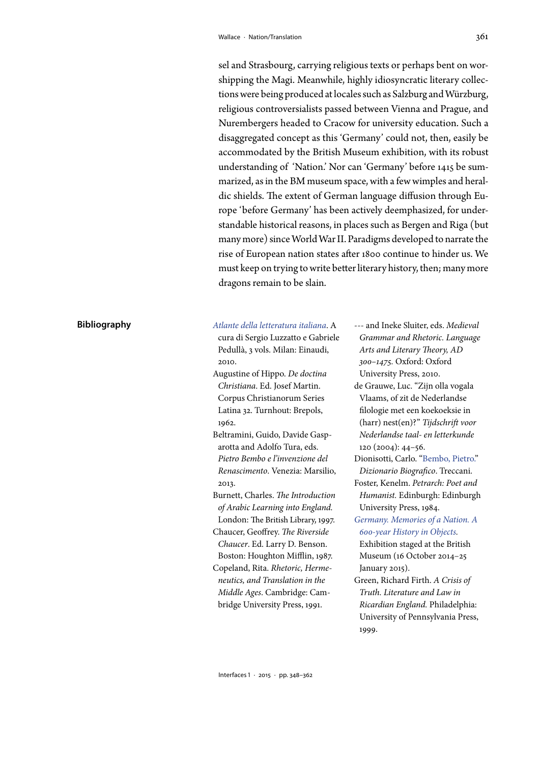sel and Strasbourg, carrying religious texts or perhaps bent on worshipping the Magi. Meanwhile, highly idiosyncratic literary collections were being produced at locales such as Salzburg and Würzburg, religious controversialists passed between Vienna and Prague, and Nurembergers headed to Cracow for university education. Such a disaggregated concept as this 'Germany' could not, then, easily be accommodated by the British Museum exhibition, with its robust understanding of 'Nation.' Nor can 'Germany' before 1415 be summarized, as in the BM museum space, with a few wimples and heraldic shields. The extent of German language diffusion through Europe 'before Germany' has been actively deemphasized, for understandable historical reasons, in places such as Bergen and Riga (but many more) since World War II. Paradigms developed to narrate the rise of European nation states after 1800 continue to hinder us. We must keep on trying to write better literary history, then; many more dragons remain to be slain.

#### **Bibliography**

*[Atlante della letteratura italiana](http://www.einaudi.it/speciali/Atlante-della-letteratura-italiana)*. A

- cura di Sergio Luzzatto e Gabriele Pedullà, 3 vols. Milan: Einaudi, 2010.
- Augustine of Hippo. *De doctina Christiana*. Ed. Josef Martin. Corpus Christianorum Series Latina 32. Turnhout: Brepols, 1962.
- Beltramini, Guido, Davide Gasparotta and Adolfo Tura, eds. *Pietro Bembo e l'invenzione del Renascimento*. Venezia: Marsilio,  $2012$
- Burnett, Charles. *The Introduction of Arabic Learning into England.*  London: The British Library, 1997. Chaucer, Geoffrey. *The Riverside*
- *Chaucer*. Ed. Larry D. Benson. Boston: Houghton Mifflin, 1987. Copeland, Rita. *Rhetoric, Hermeneutics, and Translation in the Middle Ages*. Cambridge: Cambridge University Press, 1991.
- --- and Ineke Sluiter, eds. *Medieval Grammar and Rhetoric. Language Arts and Literary Theory, AD 300–1475.* Oxford: Oxford University Press, 2010.
- de Grauwe, Luc. "Zijn olla vogala Vlaams, of zit de Nederlandse filologie met een koekoeksie in (harr) nest(en)?" *Tijdschrift voor Nederlandse taal- en letterkunde* 120 (2004): 44–56.
- Dionisotti, Carlo. ["Bembo, Pietro.](http://www.treccani.it/enciclopedia/pietro-bembo)" *Dizionario Biografico*. Treccani.
- Foster, Kenelm. *Petrarch: Poet and Humanist.* Edinburgh: Edinburgh University Press, 1984.
- *[Germany. Memories of a Nation. A](http://www.britishmuseum.org/whats_on/past_exhibitions/2014/germany_memories_of_a_nation.aspx)  [600-year History in Objects](http://www.britishmuseum.org/whats_on/past_exhibitions/2014/germany_memories_of_a_nation.aspx).*  Exhibition staged at the British Museum (16 October 2014–25 January 2015).
- Green, Richard Firth. *A Crisis of Truth. Literature and Law in Ricardian England.* Philadelphia: University of Pennsylvania Press, 1999.